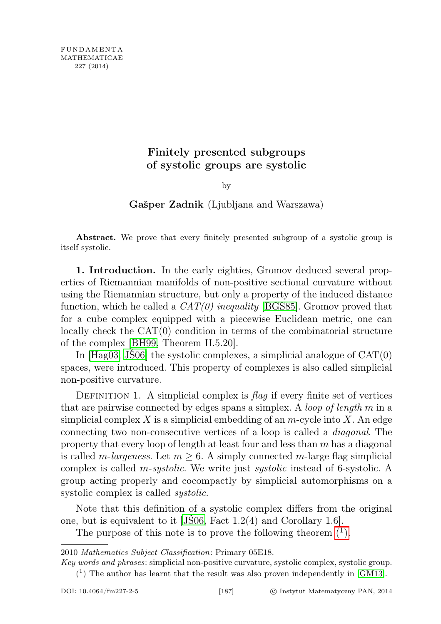## Finitely presented subgroups of systolic groups are systolic

by

## Gašper Zadnik (Ljubljana and Warszawa)

Abstract. We prove that every finitely presented subgroup of a systolic group is itself systolic.

1. Introduction. In the early eighties, Gromov deduced several properties of Riemannian manifolds of non-positive sectional curvature without using the Riemannian structure, but only a property of the induced distance function, which he called a  $CAT(0)$  inequality [\[BGS85\]](#page-8-0). Gromov proved that for a cube complex equipped with a piecewise Euclidean metric, one can locally check the CAT(0) condition in terms of the combinatorial structure of the complex [\[BH99,](#page-8-1) Theorem II.5.20].

In  $[Hag03, JS06]$  $[Hag03, JS06]$  the systolic complexes, a simplicial analogue of  $CAT(0)$ spaces, were introduced. This property of complexes is also called simplicial non-positive curvature.

DEFINITION 1. A simplicial complex is  $\beta aq$  if every finite set of vertices that are pairwise connected by edges spans a simplex. A loop of length  $m$  in a simplicial complex X is a simplicial embedding of an  $m$ -cycle into X. An edge connecting two non-consecutive vertices of a loop is called a diagonal. The property that every loop of length at least four and less than m has a diagonal is called m-largeness. Let  $m > 6$ . A simply connected m-large flag simplicial complex is called *m-systolic*. We write just *systolic* instead of 6-systolic. A group acting properly and cocompactly by simplicial automorphisms on a systolic complex is called *systolic*.

Note that this definition of a systolic complex differs from the original one, but is equivalent to it [\[JŚ06,](#page-8-3) Fact 1.2(4) and Corollary 1.6].

The purpose of this note is to prove the following theorem  $\binom{1}{k}$ .

<span id="page-0-1"></span>2010 Mathematics Subject Classification: Primary 05E18.

<span id="page-0-0"></span>Key words and phrases: simplicial non-positive curvature, systolic complex, systolic group.  $(1)$  The author has learnt that the result was also proven independently in [\[GM13\]](#page-8-4).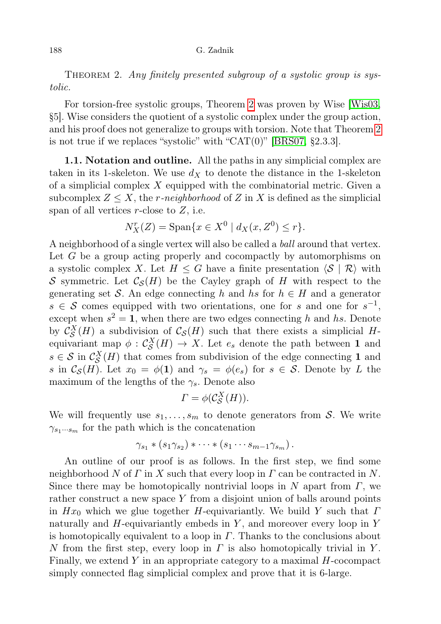THEOREM 2. Any finitely presented subgroup of a systolic group is systolic.

For torsion-free systolic groups, Theorem [2](#page-0-1) was proven by Wise [\[Wis03,](#page-9-0) §5]. Wise considers the quotient of a systolic complex under the group action, and his proof does not generalize to groups with torsion. Note that Theorem [2](#page-0-1) is not true if we replaces "systolic" with "CAT $(0)$ " [\[BRS07,](#page-8-5) §2.3.3].

1.1. Notation and outline. All the paths in any simplicial complex are taken in its 1-skeleton. We use  $d_X$  to denote the distance in the 1-skeleton of a simplicial complex  $X$  equipped with the combinatorial metric. Given a subcomplex  $Z \leq X$ , the r-neighborhood of Z in X is defined as the simplicial span of all vertices  $r$ -close to  $Z$ , i.e.

$$
N_X^r(Z) = \text{Span}\{x \in X^0 \mid d_X(x, Z^0) \le r\}.
$$

A neighborhood of a single vertex will also be called a ball around that vertex. Let G be a group acting properly and cocompactly by automorphisms on a systolic complex X. Let  $H \leq G$  have a finite presentation  $\langle S | R \rangle$  with S symmetric. Let  $\mathcal{C}_{\mathcal{S}}(H)$  be the Cayley graph of H with respect to the generating set S. An edge connecting h and hs for  $h \in H$  and a generator  $s \in \mathcal{S}$  comes equipped with two orientations, one for s and one for  $s^{-1}$ , except when  $s^2 = 1$ , when there are two edges connecting h and hs. Denote by  $\mathcal{C}_{\mathcal{S}}^X(H)$  a subdivision of  $\mathcal{C}_{\mathcal{S}}(H)$  such that there exists a simplicial Hequivariant map  $\phi : \mathcal{C}_{\mathcal{S}}^X(H) \to X$ . Let  $e_s$  denote the path between 1 and  $s \in \mathcal{S}$  in  $\mathcal{C}_{\mathcal{S}}^X(H)$  that comes from subdivision of the edge connecting 1 and s in  $\mathcal{C}_{\mathcal{S}}(H)$ . Let  $x_0 = \phi(1)$  and  $\gamma_s = \phi(e_s)$  for  $s \in \mathcal{S}$ . Denote by L the maximum of the lengths of the  $\gamma_s$ . Denote also

$$
\Gamma = \phi(\mathcal{C}_{\mathcal{S}}^X(H)).
$$

We will frequently use  $s_1, \ldots, s_m$  to denote generators from S. We write  $\gamma_{s_1\cdots s_m}$  for the path which is the concatenation

$$
\gamma_{s_1} * (s_1 \gamma_{s_2}) * \cdots * (s_1 \cdots s_{m-1} \gamma_{s_m}).
$$

An outline of our proof is as follows. In the first step, we find some neighborhood N of  $\Gamma$  in X such that every loop in  $\Gamma$  can be contracted in N. Since there may be homotopically nontrivial loops in N apart from  $\Gamma$ , we rather construct a new space Y from a disjoint union of balls around points in  $Hx_0$  which we glue together H-equivariantly. We build Y such that  $\Gamma$ naturally and  $H$ -equivariantly embeds in  $Y$ , and moreover every loop in  $Y$ is homotopically equivalent to a loop in  $\Gamma$ . Thanks to the conclusions about N from the first step, every loop in  $\Gamma$  is also homotopically trivial in Y. Finally, we extend  $Y$  in an appropriate category to a maximal  $H$ -cocompact simply connected flag simplicial complex and prove that it is 6-large.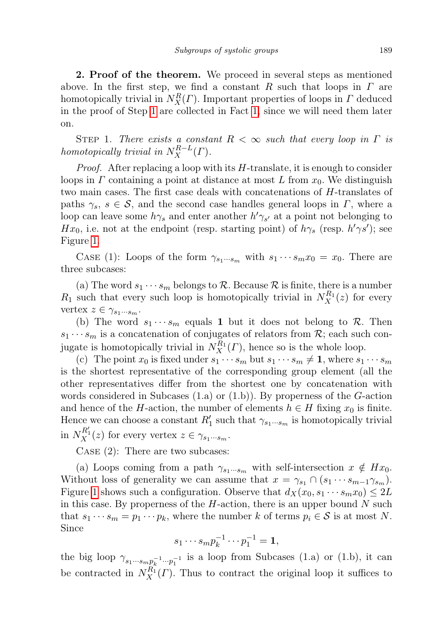2. Proof of the theorem. We proceed in several steps as mentioned above. In the first step, we find a constant R such that loops in  $\Gamma$  are homotopically trivial in  $N_X^R(\Gamma)$ . Important properties of loops in  $\Gamma$  deduced in the proof of Step [1](#page-2-0) are collected in Fact [1,](#page-3-0) since we will need them later on.

<span id="page-2-0"></span>STEP 1. There exists a constant  $R < \infty$  such that every loop in  $\Gamma$  is homotopically trivial in  $N_X^{R-L}(\Gamma)$ .

*Proof.* After replacing a loop with its  $H$ -translate, it is enough to consider loops in  $\Gamma$  containing a point at distance at most L from  $x_0$ . We distinguish two main cases. The first case deals with concatenations of H-translates of paths  $\gamma_s$ ,  $s \in \mathcal{S}$ , and the second case handles general loops in  $\Gamma$ , where a loop can leave some  $h\gamma_s$  and enter another  $h'\gamma_{s'}$  at a point not belonging to Hx<sub>0</sub>, i.e. not at the endpoint (resp. starting point) of  $h\gamma_s$  (resp.  $h'\gamma s'$ ); see Figure [1.](#page-3-1)

CASE (1): Loops of the form  $\gamma_{s_1\cdots s_m}$  with  $s_1\cdots s_m x_0 = x_0$ . There are three subcases:

(a) The word  $s_1 \cdots s_m$  belongs to R. Because R is finite, there is a number  $R_1$  such that every such loop is homotopically trivial in  $N_X^{R_1}(z)$  for every vertex  $z \in \gamma_{s_1 \cdots s_m}$ .

(b) The word  $s_1 \cdots s_m$  equals 1 but it does not belong to R. Then  $s_1 \cdots s_m$  is a concatenation of conjugates of relators from  $\mathcal{R}$ ; each such conjugate is homotopically trivial in  $N_X^{R_1}(\Gamma)$ , hence so is the whole loop.

(c) The point  $x_0$  is fixed under  $s_1 \cdots s_m$  but  $s_1 \cdots s_m \neq 1$ , where  $s_1 \cdots s_m$ is the shortest representative of the corresponding group element (all the other representatives differ from the shortest one by concatenation with words considered in Subcases  $(1.a)$  or  $(1.b)$ . By properness of the G-action and hence of the H-action, the number of elements  $h \in H$  fixing  $x_0$  is finite. Hence we can choose a constant  $R'_1$  such that  $\gamma_{s_1\cdots s_m}$  is homotopically trivial in  $N_X^{R_1'}(z)$  for every vertex  $z \in \gamma_{s_1\cdots s_m}$ .

CASE (2): There are two subcases:

(a) Loops coming from a path  $\gamma_{s_1\cdots s_m}$  with self-intersection  $x \notin Hx_0$ . Without loss of generality we can assume that  $x = \gamma_{s_1} \cap (s_1 \cdots s_{m-1} \gamma_{s_m}).$ Figure [1](#page-3-1) shows such a configuration. Observe that  $d_X(x_0, s_1 \cdots s_m x_0) \leq 2L$ in this case. By properness of the  $H$ -action, there is an upper bound  $N$  such that  $s_1 \cdots s_m = p_1 \cdots p_k$ , where the number k of terms  $p_i \in \mathcal{S}$  is at most N. Since

$$
s_1\cdots s_m p_k^{-1}\cdots p_1^{-1}=\mathbf{1},
$$

the big loop  $\gamma_{s_1\cdots s_m p_k^{-1}\cdots p_1^{-1}}$  is a loop from Subcases (1.a) or (1.b), it can be contracted in  $N_X^{R_1}(\Gamma)$ . Thus to contract the original loop it suffices to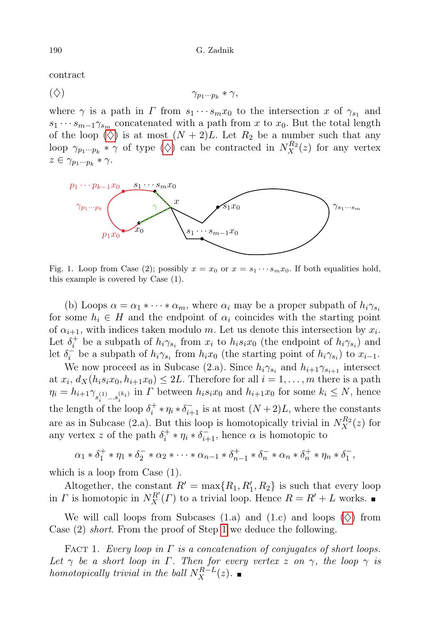contract

<span id="page-3-2"></span>
$$
(\diamondsuit) \qquad \qquad \gamma_{p_1\cdots p_k} * \gamma,
$$

where  $\gamma$  is a path in  $\Gamma$  from  $s_1 \cdots s_m x_0$  to the intersection x of  $\gamma_{s_1}$  and  $s_1 \cdots s_{m-1} \gamma_{s_m}$  concatenated with a path from x to  $x_0$ . But the total length of the loop  $(\diamondsuit)$  is at most  $(N+2)L$ . Let  $R_2$  be a number such that any loop  $\gamma_{p_1\cdots p_k} * \gamma$  of type  $(\diamondsuit)$  can be contracted in  $N_X^{R_2}(z)$  for any vertex  $z \in \gamma_{p_1 \cdots p_k} * \gamma.$ 



<span id="page-3-1"></span>Fig. 1. Loop from Case (2); possibly  $x = x_0$  or  $x = s_1 \cdots s_m x_0$ . If both equalities hold, this example is covered by Case (1).

(b) Loops  $\alpha = \alpha_1 * \cdots * \alpha_m$ , where  $\alpha_i$  may be a proper subpath of  $h_i \gamma_{s_i}$ for some  $h_i \in H$  and the endpoint of  $\alpha_i$  coincides with the starting point of  $\alpha_{i+1}$ , with indices taken modulo m. Let us denote this intersection by  $x_i$ . Let  $\delta_i^+$  be a subpath of  $h_i \gamma_{s_i}$  from  $x_i$  to  $h_i s_i x_0$  (the endpoint of  $h_i \gamma_{s_i}$ ) and let  $\delta_i^{\dagger}$  be a subpath of  $h_i \gamma_{s_i}$  from  $h_i x_0$  (the starting point of  $h_i \gamma_{s_i}$ ) to  $x_{i-1}$ .

We now proceed as in Subcase (2.a). Since  $h_i \gamma_{s_i}$  and  $h_{i+1} \gamma_{s_{i+1}}$  intersect at  $x_i$ ,  $d_X(h_i s_i x_0, h_{i+1} x_0) \leq 2L$ . Therefore for all  $i = 1, ..., m$  there is a path  $\eta_i = h_{i+1} \gamma_{s_i^{(1)} \dots s_i^{(k_i)}}$  in  $\Gamma$  between  $h_i s_i x_0$  and  $h_{i+1} x_0$  for some  $k_i \leq N$ , hence the length of the loop  $\delta_i^+ * \eta_i * \delta_{i+1}^-$  is at most  $(N+2)L$ , where the constants are as in Subcase (2.a). But this loop is homotopically trivial in  $N_X^{R_2}(z)$  for any vertex z of the path  $\delta_i^+ * \eta_i * \delta_{i+1}^-$ , hence  $\alpha$  is homotopic to

$$
\alpha_1 * \delta_1^+ * \eta_1 * \delta_2^- * \alpha_2 * \cdots * \alpha_{n-1} * \delta_{n-1}^+ * \delta_n^- * \alpha_n * \delta_n^+ * \eta_n * \delta_1^-,
$$

which is a loop from Case  $(1)$ .

Altogether, the constant  $R' = \max\{R_1, R_1', R_2\}$  is such that every loop in  $\Gamma$  is homotopic in  $N_X^{R'}(\Gamma)$  to a trivial loop. Hence  $R = R' + L$  works.

We will call loops from Subcases (1.a) and (1.c) and loops  $(\diamondsuit)$  from Case (2) short. From the proof of Step [1](#page-2-0) we deduce the following.

<span id="page-3-0"></span>FACT 1. Every loop in  $\Gamma$  is a concatenation of conjugates of short loops. Let  $\gamma$  be a short loop in  $\Gamma$ . Then for every vertex z on  $\gamma$ , the loop  $\gamma$  is homotopically trivial in the ball  $N_X^{R-L}(z)$ .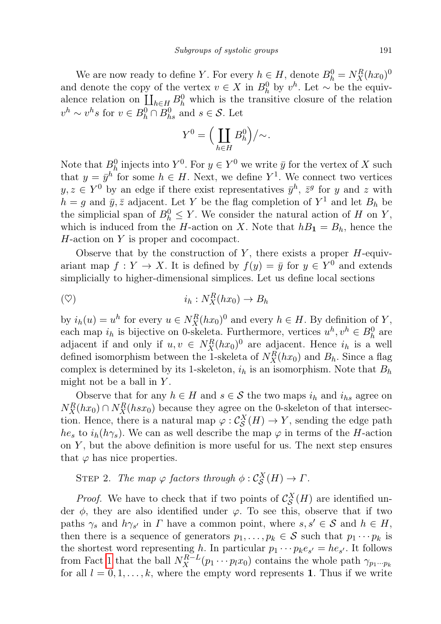We are now ready to define Y. For every  $h \in H$ , denote  $B_h^0 = N_X^R(hx_0)^0$ and denote the copy of the vertex  $v \in X$  in  $B_h^0$  by  $v^h$ . Let  $\sim$  be the equivalence relation on  $\prod_{h\in H} B_h^0$  which is the transitive closure of the relation  $v^h \sim v^h s$  for  $v \in B_h^0 \cap B_{hs}^0$  and  $s \in \mathcal{S}$ . Let

$$
Y^0 = \Big(\coprod_{h\in H} B_h^0\Big)/{\sim}.
$$

Note that  $B_0^0$  injects into  $Y^0$ . For  $y \in Y^0$  we write  $\bar{y}$  for the vertex of X such that  $y = \bar{y}^h$  for some  $h \in H$ . Next, we define  $Y^1$ . We connect two vertices  $y, z \in Y^0$  by an edge if there exist representatives  $\bar{y}^h$ ,  $\bar{z}^g$  for y and z with  $h = g$  and  $\bar{y}, \bar{z}$  adjacent. Let Y be the flag completion of  $Y^1$  and let  $B_h$  be the simplicial span of  $B_h^0 \leq Y$ . We consider the natural action of H on Y, which is induced from the H-action on X. Note that  $h_1 = B_h$ , hence the H-action on Y is proper and cocompact.

Observe that by the construction of  $Y$ , there exists a proper  $H$ -equivariant map  $f: Y \to X$ . It is defined by  $f(y) = \bar{y}$  for  $y \in Y^0$  and extends simplicially to higher-dimensional simplices. Let us define local sections

<span id="page-4-1"></span>
$$
\text{(9)} \quad i_h: N_X^R(hx_0) \to B_h
$$

by  $i_h(u) = u^h$  for every  $u \in N_X^R(hx_0)^0$  and every  $h \in H$ . By definition of Y, each map  $i_h$  is bijective on 0-skeleta. Furthermore, vertices  $u^h, v^h \in B_h^0$  are adjacent if and only if  $u, v \in N_X^R(hx_0)^0$  are adjacent. Hence  $i_h$  is a well defined isomorphism between the 1-skeleta of  $N_X^R(hx_0)$  and  $B_h$ . Since a flag complex is determined by its 1-skeleton,  $i_h$  is an isomorphism. Note that  $B_h$ might not be a ball in  $Y$ .

Observe that for any  $h \in H$  and  $s \in S$  the two maps  $i_h$  and  $i_{hs}$  agree on  $N_X^R(hx_0) \cap N_X^R(hsx_0)$  because they agree on the 0-skeleton of that intersection. Hence, there is a natural map  $\varphi : C_{\mathcal{S}}^{X}(H) \to Y$ , sending the edge path  $he_s$  to  $i_h(h\gamma_s)$ . We can as well describe the map  $\varphi$  in terms of the H-action on  $Y$ , but the above definition is more useful for us. The next step ensures that  $\varphi$  has nice properties.

<span id="page-4-0"></span>STEP 2. The map  $\varphi$  factors through  $\phi : C_S^X(H) \to \Gamma$ .

*Proof.* We have to check that if two points of  $\mathcal{C}_{\mathcal{S}}^{X}(H)$  are identified under  $\phi$ , they are also identified under  $\varphi$ . To see this, observe that if two paths  $\gamma_s$  and  $h\gamma_{s'}$  in  $\Gamma$  have a common point, where  $s, s' \in \mathcal{S}$  and  $h \in H$ , then there is a sequence of generators  $p_1, \ldots, p_k \in \mathcal{S}$  such that  $p_1 \cdots p_k$  is the shortest word representing h. In particular  $p_1 \cdots p_k e_{s'} = he_{s'}$ . It follows from Fact [1](#page-3-0) that the ball  $N_X^{R-L}(p_1 \cdots p_l x_0)$  contains the whole path  $\gamma_{p_1 \cdots p_k}$ for all  $l = 0, 1, \ldots, k$ , where the empty word represents 1. Thus if we write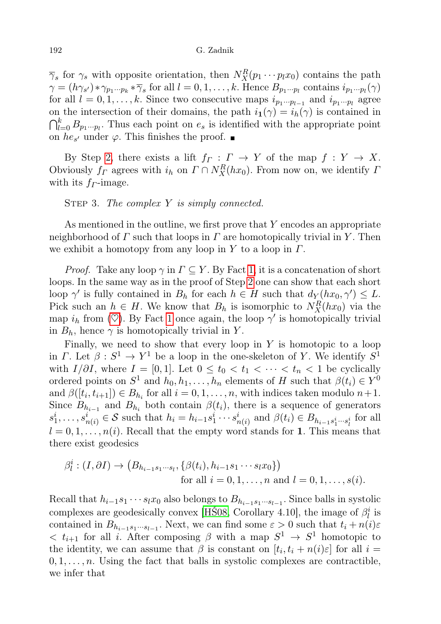$\overline{\gamma}_s$  for  $\gamma_s$  with opposite orientation, then  $N_X^R(p_1 \cdots p_l x_0)$  contains the path  $\gamma = (h\gamma_{s'}) * \gamma_{p_1\cdots p_k} * \overline{\gamma}_s$  for all  $l = 0, 1, \ldots, k$ . Hence  $B_{p_1\cdots p_l}$  contains  $i_{p_1\cdots p_l}(\gamma)$ for all  $l = 0, 1, \ldots, k$ . Since two consecutive maps  $i_{p_1 \cdots p_{l-1}}$  and  $i_{p_1 \cdots p_l}$  agree on the intersection of their domains, the path  $i_1(\gamma) = i_h(\gamma)$  is contained in  $\bigcap_{l=0}^k B_{p_1\cdots p_l}$ . Thus each point on  $e_s$  is identified with the appropriate point on  $he_{s'}$  under  $\varphi$ . This finishes the proof.

By Step [2,](#page-4-0) there exists a lift  $f_{\Gamma}: \Gamma \to Y$  of the map  $f: Y \to X$ . Obviously  $f_{\Gamma}$  agrees with  $i_h$  on  $\Gamma \cap N_X^R(hx_0)$ . From now on, we identify  $\Gamma$ with its  $f<sub>F</sub>$ -image.

<span id="page-5-0"></span>STEP 3. The complex  $Y$  is simply connected.

As mentioned in the outline, we first prove that  $Y$  encodes an appropriate neighborhood of  $\Gamma$  such that loops in  $\Gamma$  are homotopically trivial in Y. Then we exhibit a homotopy from any loop in Y to a loop in  $\Gamma$ .

*Proof.* Take any loop  $\gamma$  in  $\Gamma \subseteq Y$ . By Fact [1,](#page-3-0) it is a concatenation of short loops. In the same way as in the proof of Step [2](#page-4-0) one can show that each short loop  $\gamma'$  is fully contained in  $B_h$  for each  $h \in H$  such that  $d_Y(hx_0, \gamma') \leq L$ . Pick such an  $h \in H$ . We know that  $B_h$  is isomorphic to  $N_X^R(hx_0)$  via the map  $i_h$  from ( $\heartsuit$ ). By Fact [1](#page-3-0) once again, the loop  $\gamma'$  is homotopically trivial in  $B_h$ , hence  $\gamma$  is homotopically trivial in Y.

Finally, we need to show that every loop in  $Y$  is homotopic to a loop in  $\Gamma$ . Let  $\beta : S^1 \to Y^1$  be a loop in the one-skeleton of Y. We identify  $S^1$ with  $I/\partial I$ , where  $I = [0, 1]$ . Let  $0 \le t_0 < t_1 < \cdots < t_n < 1$  be cyclically ordered points on  $S^1$  and  $h_0, h_1, \ldots, h_n$  elements of H such that  $\beta(t_i) \in Y^0$ and  $\beta([t_i, t_{i+1}]) \in B_{h_i}$  for all  $i = 0, 1, ..., n$ , with indices taken modulo  $n+1$ . Since  $B_{h_{i-1}}$  and  $B_{h_i}$  both contain  $\beta(t_i)$ , there is a sequence of generators  $s_1^i, \ldots, s_{n(i)}^i \in \mathcal{S}$  such that  $h_i = h_{i-1}s_1^i \cdots s_{n(i)}^i$  and  $\beta(t_i) \in B_{h_{i-1}s_1^i \cdots s_l^i}$  for all  $l = 0, 1, \ldots, n(i)$ . Recall that the empty word stands for 1. This means that there exist geodesics

$$
\beta_l^i : (I, \partial I) \to (B_{h_{i-1}s_1\cdots s_l}, \{\beta(t_i), h_{i-1}s_1\cdots s_l x_0\})
$$
  
for all  $i = 0, 1, ..., n$  and  $l = 0, 1, ..., s(i)$ .

Recall that  $h_{i-1}s_1 \cdots s_l x_0$  also belongs to  $B_{h_{i-1}s_1\cdots s_{l-1}}$ . Since balls in systolic complexes are geodesically convex [HS08, Corollary 4.10], the image of  $\beta_l^i$  is contained in  $B_{h_{i-1}s_1\cdots s_{l-1}}$ . Next, we can find some  $\varepsilon > 0$  such that  $t_i + n(i)\varepsilon$  $\langle t_{i+1} \rangle$  for all *i*. After composing  $\beta$  with a map  $S^1 \rightarrow S^1$  homotopic to the identity, we can assume that  $\beta$  is constant on  $[t_i, t_i + n(i)\varepsilon]$  for all  $i =$  $0, 1, \ldots, n$ . Using the fact that balls in systolic complexes are contractible, we infer that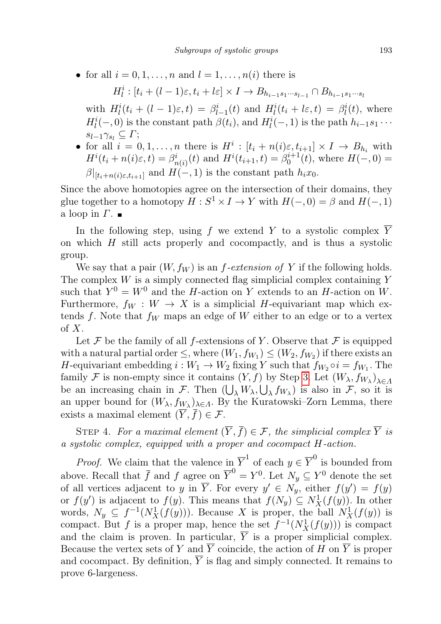• for all  $i = 0, 1, \ldots, n$  and  $l = 1, \ldots, n(i)$  there is

$$
H_l^i: [t_i + (l-1)\varepsilon, t_i + l\varepsilon] \times I \to B_{h_{i-1}s_1\cdots s_{l-1}} \cap B_{h_{i-1}s_1\cdots s_l}
$$

with  $H_l^i(t_i + (l-1)\varepsilon, t) = \beta_{l-1}^i(t)$  and  $H_l^i(t_i + l\varepsilon, t) = \beta_l^i(t)$ , where  $H_l^i(-,0)$  is the constant path  $\beta(t_i)$ , and  $H_l^i(-,1)$  is the path  $h_{i-1}s_1 \cdots$  $s_{l-1}\gamma_{s_l} \subseteq \Gamma;$ 

• for all  $i = 0, 1, ..., n$  there is  $H^i : [t_i + n(i)\varepsilon, t_{i+1}] \times I \to B_{h_i}$  with  $H^{i}(t_{i}+n(i)\varepsilon,t) = \beta^{i}_{n(i)}(t)$  and  $H^{i}(t_{i+1},t) = \beta^{i+1}_{0}(t)$ , where  $H(-,0) =$  $\beta|_{[t_i+n(i)\varepsilon,t_{i+1}]}$  and  $H(-,1)$  is the constant path  $h_ix_0$ .

Since the above homotopies agree on the intersection of their domains, they glue together to a homotopy  $H : S^1 \times I \to Y$  with  $H(-,0) = \beta$  and  $H(-,1)$ a loop in  $\Gamma$ .

In the following step, using f we extend Y to a systolic complex Y on which H still acts properly and cocompactly, and is thus a systolic group.

We say that a pair  $(W, f_W)$  is an f-extension of Y if the following holds. The complex  $W$  is a simply connected flag simplicial complex containing  $Y$ such that  $Y^0 = W^0$  and the H-action on Y extends to an H-action on W. Furthermore,  $f_W : W \to X$  is a simplicial H-equivariant map which extends f. Note that  $f_W$  maps an edge of W either to an edge or to a vertex  $\mathrm{of}\ X.$ 

Let F be the family of all f-extensions of Y. Observe that F is equipped with a natural partial order  $\leq$ , where  $(W_1, f_{W_1}) \leq (W_2, f_{W_2})$  if there exists an H-equivariant embedding  $i: W_1 \to W_2$  fixing Y such that  $f_{W_2} \circ i = f_{W_1}$ . The family F is non-empty since it contains  $(Y, f)$  by Step [3.](#page-5-0) Let  $(W_\lambda, f_{W_\lambda})_{\lambda \in \Lambda}$ be an increasing chain in F. Then  $(\bigcup_{\lambda} W_{\lambda}, \bigcup_{\lambda} f_{W_{\lambda}})$  is also in F, so it is an upper bound for  $(W_\lambda, f_{W_\lambda})_{\lambda \in \Lambda}$ . By the Kuratowski–Zorn Lemma, there exists a maximal element  $(\overline{Y}, \overline{f}) \in \mathcal{F}$ .

STEP 4. For a maximal element  $(\overline{Y}, \overline{f}) \in \mathcal{F}$ , the simplicial complex  $\overline{Y}$  is a systolic complex, equipped with a proper and cocompact H-action.

*Proof.* We claim that the valence  $\lim_{n \to \infty} \overline{Y}^1$  of each  $y \in \overline{Y}^0$  is bounded from above. Recall that  $\bar{f}$  and  $f$  agree on  $\bar{Y}^0 = Y^0$ . Let  $N_y \subseteq Y^0$  denote the set of all vertices adjacent to y in  $\overline{Y}$ . For every  $y' \in N_y$ , either  $f(y') = f(y)$ or  $f(y')$  is adjacent to  $f(y)$ . This means that  $f(N_y) \subseteq N_X^1(f(y))$ . In other words,  $N_y \subseteq f^{-1}(N_X^1(f(y)))$ . Because X is proper, the ball  $N_X^1(f(y))$  is compact. But f is a proper map, hence the set  $f^{-1}(N_X^1(f(y)))$  is compact and the claim is proven. In particular,  $\overline{Y}$  is a proper simplicial complex. Because the vertex sets of Y and  $\overline{Y}$  coincide, the action of H on  $\overline{Y}$  is proper and cocompact. By definition,  $\overline{Y}$  is flag and simply connected. It remains to prove 6-largeness.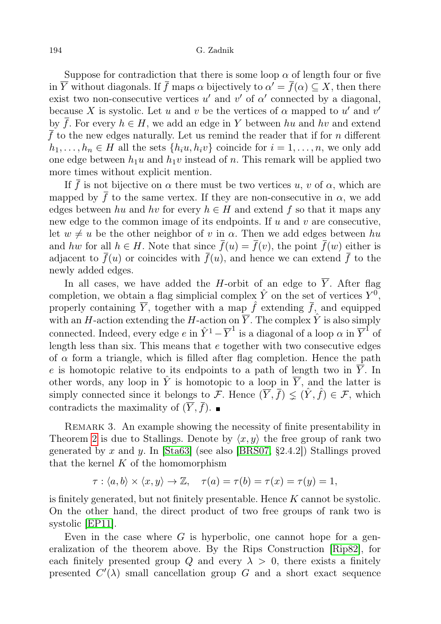Suppose for contradiction that there is some loop  $\alpha$  of length four or five in  $\overline{Y}$  without diagonals. If  $\overline{f}$  maps  $\alpha$  bijectively to  $\alpha' = \overline{f}(\alpha) \subseteq X$ , then there exist two non-consecutive vertices  $u'$  and  $v'$  of  $\alpha'$  connected by a diagonal, because X is systolic. Let u and v be the vertices of  $\alpha$  mapped to u' and v' by  $\overline{f}$ . For every  $h \in H$ , we add an edge in Y between hu and hv and extend  $\overline{f}$  to the new edges naturally. Let us remind the reader that if for n different  $h_1, \ldots, h_n \in H$  all the sets  $\{h_i u, h_i v\}$  coincide for  $i = 1, \ldots, n$ , we only add one edge between  $h_1u$  and  $h_1v$  instead of n. This remark will be applied two more times without explicit mention.

If  $\bar{f}$  is not bijective on  $\alpha$  there must be two vertices u, v of  $\alpha$ , which are mapped by  $\bar{f}$  to the same vertex. If they are non-consecutive in  $\alpha$ , we add edges between hu and hv for every  $h \in H$  and extend f so that it maps any new edge to the common image of its endpoints. If  $u$  and  $v$  are consecutive, let  $w \neq u$  be the other neighbor of v in  $\alpha$ . Then we add edges between hu and hw for all  $h \in H$ . Note that since  $\bar{f}(u) = \bar{f}(v)$ , the point  $\bar{f}(w)$  either is adjacent to  $\bar{f}(u)$  or coincides with  $\bar{f}(u)$ , and hence we can extend  $\bar{f}$  to the newly added edges.

In all cases, we have added the H-orbit of an edge to  $\overline{Y}$ . After flag completion, we obtain a flag simplicial complex  $\hat{Y}$  on the set of vertices  $Y^0$ , properly containing  $\overline{Y}$ , together with a map  $\hat{f}$  extending  $\overline{f}$ , and equipped with an H-action extending the H-action on  $\overline{Y}$ . The complex  $\hat{Y}$  is also simply connected. Indeed, every edge  $e$  in  $\hat{Y}^1 - \overline{Y}^1$  is a diagonal of a loop  $\alpha$  in  $\overline{Y}^1$  of length less than six. This means that  $e$  together with two consecutive edges of  $\alpha$  form a triangle, which is filled after flag completion. Hence the path e is homotopic relative to its endpoints to a path of length two in  $\overline{Y}$ . In other words, any loop in  $\hat{Y}$  is homotopic to a loop in  $\overline{Y}$ , and the latter is simply connected since it belongs to F. Hence  $(\overline{Y}, \overline{f}) \leq (\hat{Y}, \hat{f}) \in \mathcal{F}$ , which contradicts the maximality of  $(\overline{Y}, \overline{f})$ .

REMARK 3. An example showing the necessity of finite presentability in Theorem [2](#page-0-1) is due to Stallings. Denote by  $\langle x, y \rangle$  the free group of rank two generated by x and y. In  $[Sta63]$  (see also  $[BRS07, §2.4.2]$  $[BRS07, §2.4.2]$ ) Stallings proved that the kernel  $K$  of the homomorphism

$$
\tau: \langle a, b \rangle \times \langle x, y \rangle \to \mathbb{Z}, \quad \tau(a) = \tau(b) = \tau(x) = \tau(y) = 1,
$$

is finitely generated, but not finitely presentable. Hence  $K$  cannot be systolic. On the other hand, the direct product of two free groups of rank two is systolic [\[EP11\]](#page-8-7).

Even in the case where  $G$  is hyperbolic, one cannot hope for a generalization of the theorem above. By the Rips Construction [\[Rip82\]](#page-8-8), for each finitely presented group Q and every  $\lambda > 0$ , there exists a finitely presented  $C'(\lambda)$  small cancellation group G and a short exact sequence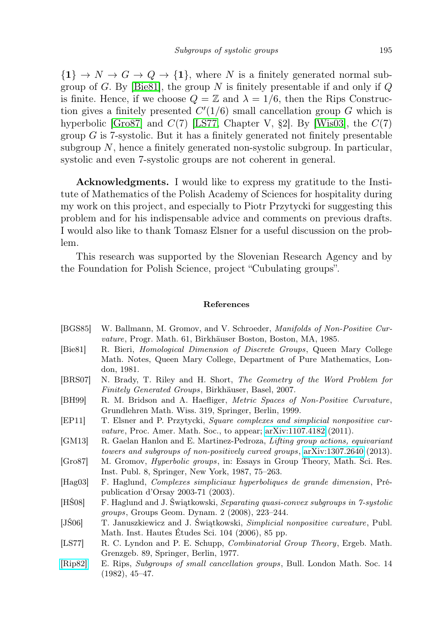${1} \rightarrow N \rightarrow G \rightarrow Q \rightarrow {1}$ , where N is a finitely generated normal sub-group of G. By [\[Bie81\]](#page-8-9), the group N is finitely presentable if and only if  $Q$ is finite. Hence, if we choose  $Q = \mathbb{Z}$  and  $\lambda = 1/6$ , then the Rips Construction gives a finitely presented  $C'(1/6)$  small cancellation group G which is hyperbolic [\[Gro87\]](#page-8-10) and  $C(7)$  [\[LS77,](#page-8-11) Chapter V, §2]. By [\[Wis03\]](#page-9-0), the  $C(7)$ group  $G$  is 7-systolic. But it has a finitely generated not finitely presentable subgroup  $N$ , hence a finitely generated non-systolic subgroup. In particular, systolic and even 7-systolic groups are not coherent in general.

Acknowledgments. I would like to express my gratitude to the Institute of Mathematics of the Polish Academy of Sciences for hospitality during my work on this project, and especially to Piotr Przytycki for suggesting this problem and for his indispensable advice and comments on previous drafts. I would also like to thank Tomasz Elsner for a useful discussion on the problem.

This research was supported by the Slovenian Research Agency and by the Foundation for Polish Science, project "Cubulating groups".

## References

- <span id="page-8-0"></span>[BGS85] W. Ballmann, M. Gromov, and V. Schroeder, Manifolds of Non-Positive Curvature, Progr. Math. 61, Birkhäuser Boston, Boston, MA, 1985.
- <span id="page-8-9"></span>[Bie81] R. Bieri, Homological Dimension of Discrete Groups, Queen Mary College Math. Notes, Queen Mary College, Department of Pure Mathematics, London, 1981.
- <span id="page-8-5"></span>[BRS07] N. Brady, T. Riley and H. Short, The Geometry of the Word Problem for Finitely Generated Groups, Birkhäuser, Basel, 2007.
- <span id="page-8-1"></span>[BH99] R. M. Bridson and A. Haefliger, Metric Spaces of Non-Positive Curvature, Grundlehren Math. Wiss. 319, Springer, Berlin, 1999.
- <span id="page-8-7"></span>[EP11] T. Elsner and P. Przytycki, Square complexes and simplicial nonpositive curvature, Proc. Amer. Math. Soc., to appear; [arXiv:1107.4182](http://arxiv.org/abs/1107.4182) (2011).
- <span id="page-8-4"></span>[GM13] R. Gaelan Hanlon and E. Martinez-Pedroza, Lifting group actions, equivariant towers and subgroups of non-positively curved groups, [arXiv:1307.2640](http://arxiv.org/abs/1307.2640) (2013).
- <span id="page-8-10"></span>[Gro87] M. Gromov, Hyperbolic groups, in: Essays in Group Theory, Math. Sci. Res. Inst. Publ. 8, Springer, New York, 1987, 75–263.
- <span id="page-8-2"></span>[Hag03] F. Haglund, Complexes simpliciaux hyperboliques de grande dimension, Prépublication d'Orsay 2003-71 (2003).
- <span id="page-8-6"></span>[HŚ08] F. Haglund and J. Świątkowski, Separating quasi-convex subgroups in 7-systolic groups, Groups Geom. Dynam. 2 (2008), 223–244.
- <span id="page-8-3"></span>[JŚ06] T. Januszkiewicz and J. Świątkowski, Simplicial nonpositive curvature, Publ. Math. Inst. Hautes Études Sci. 104 (2006), 85 pp.
- <span id="page-8-11"></span>[LS77] R. C. Lyndon and P. E. Schupp, Combinatorial Group Theory, Ergeb. Math. Grenzgeb. 89, Springer, Berlin, 1977.
- <span id="page-8-8"></span>[\[Rip82\]](http://dx.doi.org/10.1112/blms/14.1.45) E. Rips, Subgroups of small cancellation groups, Bull. London Math. Soc. 14 (1982), 45–47.